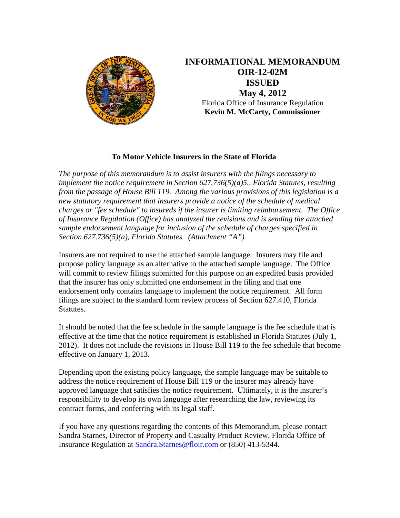

**INFORMATIONAL MEMORANDUM OIR-12-02M ISSUED May 4, 2012** Florida Office of Insurance Regulation **Kevin M. McCarty, Commissioner** 

## **To Motor Vehicle Insurers in the State of Florida**

*The purpose of this memorandum is to assist insurers with the filings necessary to implement the notice requirement in Section 627.736(5)(a)5., Florida Statutes, resulting from the passage of House Bill 119. Among the various provisions of this legislation is a new statutory requirement that insurers provide a notice of the schedule of medical charges or "fee schedule" to insureds if the insurer is limiting reimbursement. The Office of Insurance Regulation (Office) has analyzed the revisions and is sending the attached sample endorsement language for inclusion of the schedule of charges specified in Section 627.736(5)(a), Florida Statutes. (Attachment "A")* 

Insurers are not required to use the attached sample language. Insurers may file and propose policy language as an alternative to the attached sample language. The Office will commit to review filings submitted for this purpose on an expedited basis provided that the insurer has only submitted one endorsement in the filing and that one endorsement only contains language to implement the notice requirement. All form filings are subject to the standard form review process of Section 627.410, Florida Statutes.

It should be noted that the fee schedule in the sample language is the fee schedule that is effective at the time that the notice requirement is established in Florida Statutes (July 1, 2012). It does not include the revisions in House Bill 119 to the fee schedule that become effective on January 1, 2013.

Depending upon the existing policy language, the sample language may be suitable to address the notice requirement of House Bill 119 or the insurer may already have approved language that satisfies the notice requirement. Ultimately, it is the insurer's responsibility to develop its own language after researching the law, reviewing its contract forms, and conferring with its legal staff.

If you have any questions regarding the contents of this Memorandum, please contact Sandra Starnes, Director of Property and Casualty Product Review, Florida Office of Insurance Regulation at Sandra.Starnes@floir.com or (850) 413-5344.